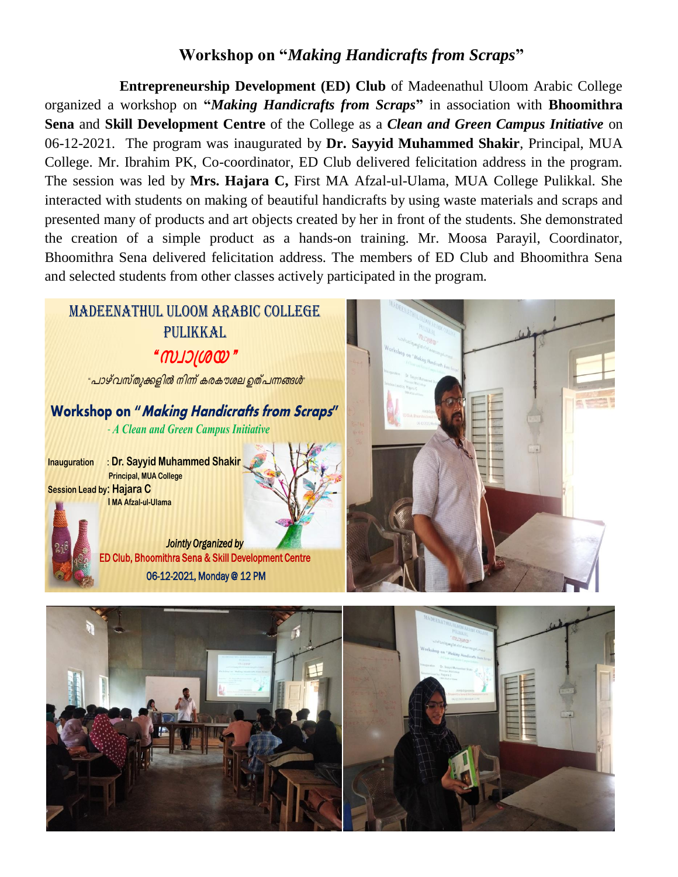## **Workshop on "***Making Handicrafts from Scraps***"**

**Entrepreneurship Development (ED) Club** of Madeenathul Uloom Arabic College organized a workshop on **"***Making Handicrafts from Scraps***"** in association with **Bhoomithra Sena** and **Skill Development Centre** of the College as a *Clean and Green Campus Initiative* on 06-12-2021*.* The program was inaugurated by **Dr. Sayyid Muhammed Shakir**, Principal, MUA College. Mr. Ibrahim PK, Co-coordinator, ED Club delivered felicitation address in the program. The session was led by **Mrs. Hajara C,** First MA Afzal-ul-Ulama, MUA College Pulikkal. She interacted with students on making of beautiful handicrafts by using waste materials and scraps and presented many of products and art objects created by her in front of the students. She demonstrated the creation of a simple product as a hands-on training. Mr. Moosa Parayil, Coordinator, Bhoomithra Sena delivered felicitation address. The members of ED Club and Bhoomithra Sena and selected students from other classes actively participated in the program.